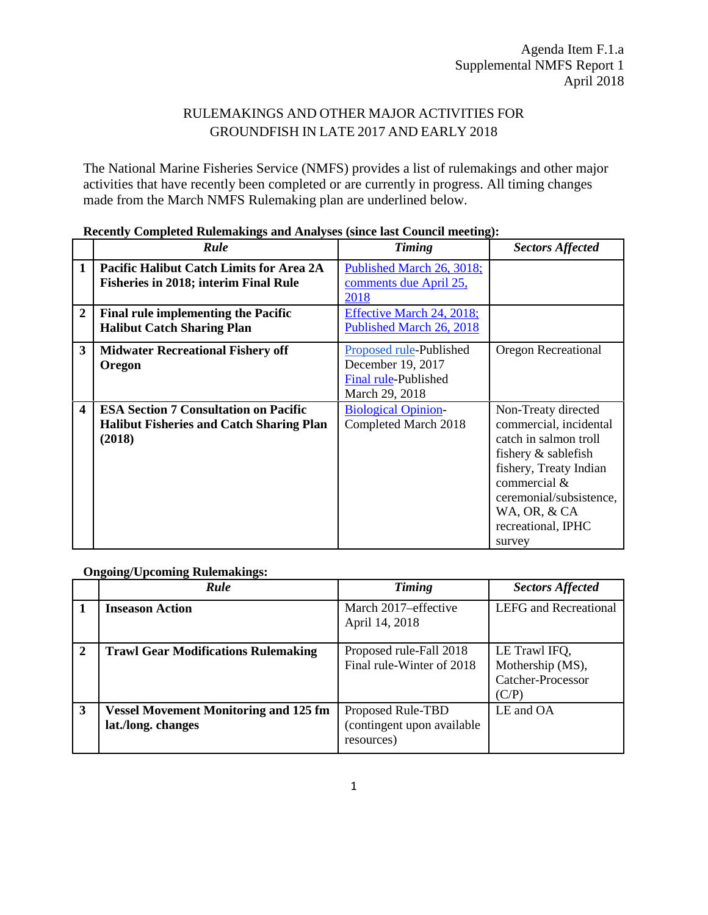## RULEMAKINGS AND OTHER MAJOR ACTIVITIES FOR GROUNDFISH IN LATE 2017 AND EARLY 2018

The National Marine Fisheries Service (NMFS) provides a list of rulemakings and other major activities that have recently been completed or are currently in progress. All timing changes made from the March NMFS Rulemaking plan are underlined below.

|                         | Rule                                                                                                      | <b>Timing</b>                                                                                 | <b>Sectors Affected</b>                                                                                                                                                                                            |
|-------------------------|-----------------------------------------------------------------------------------------------------------|-----------------------------------------------------------------------------------------------|--------------------------------------------------------------------------------------------------------------------------------------------------------------------------------------------------------------------|
| $\mathbf{1}$            | Pacific Halibut Catch Limits for Area 2A<br><b>Fisheries in 2018; interim Final Rule</b>                  | Published March 26, 3018;<br>comments due April 25,<br>2018                                   |                                                                                                                                                                                                                    |
| $\overline{2}$          | <b>Final rule implementing the Pacific</b><br><b>Halibut Catch Sharing Plan</b>                           | Effective March 24, 2018;<br>Published March 26, 2018                                         |                                                                                                                                                                                                                    |
| 3                       | <b>Midwater Recreational Fishery off</b><br>Oregon                                                        | <b>Proposed rule-Published</b><br>December 19, 2017<br>Final rule-Published<br>March 29, 2018 | Oregon Recreational                                                                                                                                                                                                |
| $\overline{\mathbf{4}}$ | <b>ESA Section 7 Consultation on Pacific</b><br><b>Halibut Fisheries and Catch Sharing Plan</b><br>(2018) | <b>Biological Opinion-</b><br>Completed March 2018                                            | Non-Treaty directed<br>commercial, incidental<br>catch in salmon troll<br>fishery & sablefish<br>fishery, Treaty Indian<br>commercial &<br>ceremonial/subsistence,<br>WA, OR, & CA<br>recreational, IPHC<br>survey |

## **Recently Completed Rulemakings and Analyses (since last Council meeting):**

**Ongoing/Upcoming Rulemakings:**

|                | Rule                                                               | Timing                                                        | <b>Sectors Affected</b>                                                |
|----------------|--------------------------------------------------------------------|---------------------------------------------------------------|------------------------------------------------------------------------|
|                | <b>Inseason Action</b>                                             | March 2017–effective<br>April 14, 2018                        | <b>LEFG</b> and Recreational                                           |
| $\overline{2}$ | <b>Trawl Gear Modifications Rulemaking</b>                         | Proposed rule-Fall 2018<br>Final rule-Winter of 2018          | LE Trawl IFQ,<br>Mothership (MS),<br><b>Catcher-Processor</b><br>(C/P) |
| 3              | <b>Vessel Movement Monitoring and 125 fm</b><br>lat./long. changes | Proposed Rule-TBD<br>(contingent upon available<br>resources) | LE and OA                                                              |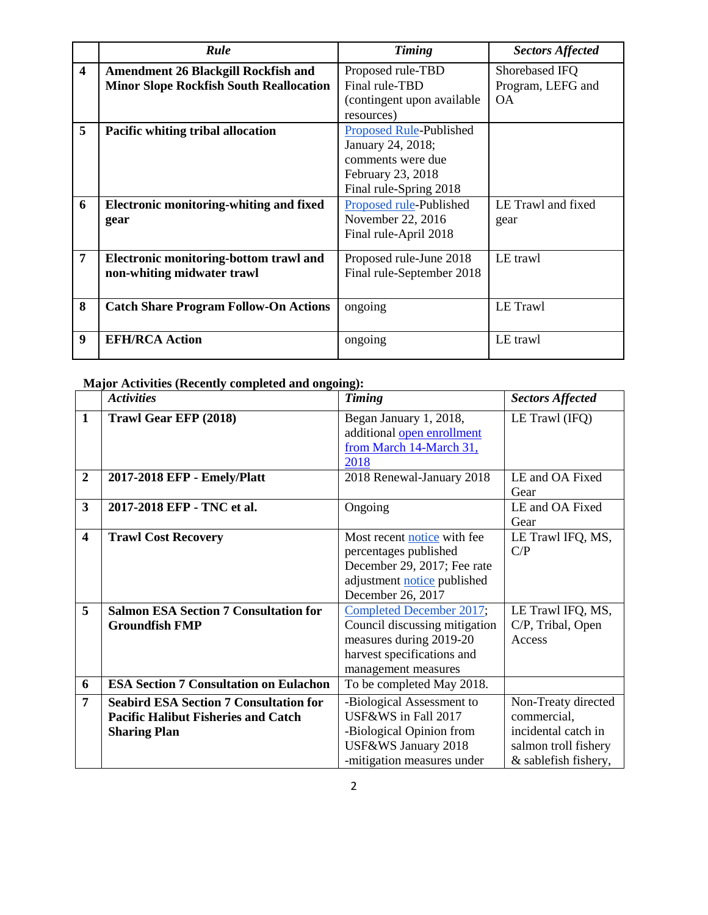|                         | Rule                                                                                         | <b>Timing</b>                                                                                                    | <b>Sectors Affected</b>                          |
|-------------------------|----------------------------------------------------------------------------------------------|------------------------------------------------------------------------------------------------------------------|--------------------------------------------------|
| $\overline{\mathbf{4}}$ | <b>Amendment 26 Blackgill Rockfish and</b><br><b>Minor Slope Rockfish South Reallocation</b> | Proposed rule-TBD<br>Final rule-TBD<br>(contingent upon available)<br>resources)                                 | Shorebased IFQ<br>Program, LEFG and<br><b>OA</b> |
| 5                       | <b>Pacific whiting tribal allocation</b>                                                     | Proposed Rule-Published<br>January 24, 2018;<br>comments were due<br>February 23, 2018<br>Final rule-Spring 2018 |                                                  |
| 6                       | <b>Electronic monitoring-whiting and fixed</b><br>gear                                       | Proposed rule-Published<br>November 22, 2016<br>Final rule-April 2018                                            | LE Trawl and fixed<br>gear                       |
| $\overline{7}$          | Electronic monitoring-bottom trawl and<br>non-whiting midwater trawl                         | Proposed rule-June 2018<br>Final rule-September 2018                                                             | LE trawl                                         |
| 8                       | <b>Catch Share Program Follow-On Actions</b>                                                 | ongoing                                                                                                          | LE Trawl                                         |
| 9                       | <b>EFH/RCA Action</b>                                                                        | ongoing                                                                                                          | LE trawl                                         |

## **Major Activities (Recently completed and ongoing):**

|                         | <b>Activities</b>                                                                                                  | <b>Timing</b>                                                                                                                             | <b>Sectors Affected</b>                                                           |
|-------------------------|--------------------------------------------------------------------------------------------------------------------|-------------------------------------------------------------------------------------------------------------------------------------------|-----------------------------------------------------------------------------------|
| 1                       | Trawl Gear EFP (2018)                                                                                              | Began January 1, 2018,<br>additional open enrollment<br>from March 14-March 31,<br>2018                                                   | LE Trawl (IFQ)                                                                    |
| $\overline{2}$          | 2017-2018 EFP - Emely/Platt                                                                                        | 2018 Renewal-January 2018                                                                                                                 | LE and OA Fixed<br>Gear                                                           |
| 3                       | 2017-2018 EFP - TNC et al.                                                                                         | Ongoing                                                                                                                                   | LE and OA Fixed<br>Gear                                                           |
| $\overline{\mathbf{4}}$ | <b>Trawl Cost Recovery</b>                                                                                         | Most recent notice with fee<br>percentages published<br>December 29, 2017; Fee rate<br>adjustment notice published<br>December 26, 2017   | LE Trawl IFQ, MS,<br>C/P                                                          |
| 5                       | <b>Salmon ESA Section 7 Consultation for</b><br><b>Groundfish FMP</b>                                              | Completed December 2017;<br>Council discussing mitigation<br>measures during 2019-20<br>harvest specifications and<br>management measures | LE Trawl IFQ, MS,<br>C/P, Tribal, Open<br>Access                                  |
| 6                       | <b>ESA Section 7 Consultation on Eulachon</b>                                                                      | To be completed May 2018.                                                                                                                 |                                                                                   |
| 7                       | <b>Seabird ESA Section 7 Consultation for</b><br><b>Pacific Halibut Fisheries and Catch</b><br><b>Sharing Plan</b> | -Biological Assessment to<br>USF&WS in Fall 2017<br>-Biological Opinion from<br>USF&WS January 2018                                       | Non-Treaty directed<br>commercial,<br>incidental catch in<br>salmon troll fishery |
|                         |                                                                                                                    | -mitigation measures under                                                                                                                | & sablefish fishery,                                                              |